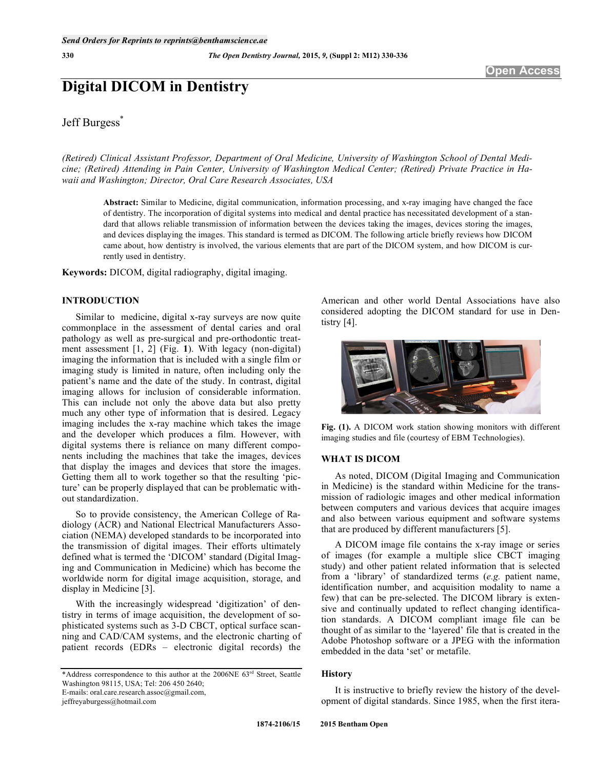# **Digital DICOM in Dentistry**

# Jeff Burgess<sup>\*</sup>

*(Retired) Clinical Assistant Professor, Department of Oral Medicine, University of Washington School of Dental Medicine; (Retired) Attending in Pain Center, University of Washington Medical Center; (Retired) Private Practice in Hawaii and Washington; Director, Oral Care Research Associates, USA* 

**Abstract:** Similar to Medicine, digital communication, information processing, and x-ray imaging have changed the face of dentistry. The incorporation of digital systems into medical and dental practice has necessitated development of a standard that allows reliable transmission of information between the devices taking the images, devices storing the images, and devices displaying the images. This standard is termed as DICOM. The following article briefly reviews how DICOM came about, how dentistry is involved, the various elements that are part of the DICOM system, and how DICOM is currently used in dentistry.

**Keywords:** DICOM, digital radiography, digital imaging.

# **INTRODUCTION**

Similar to medicine, digital x-ray surveys are now quite commonplace in the assessment of dental caries and oral pathology as well as pre-surgical and pre-orthodontic treatment assessment [1, 2] (Fig. **1**). With legacy (non-digital) imaging the information that is included with a single film or imaging study is limited in nature, often including only the patient's name and the date of the study. In contrast, digital imaging allows for inclusion of considerable information. This can include not only the above data but also pretty much any other type of information that is desired. Legacy imaging includes the x-ray machine which takes the image and the developer which produces a film. However, with digital systems there is reliance on many different components including the machines that take the images, devices that display the images and devices that store the images. Getting them all to work together so that the resulting 'picture' can be properly displayed that can be problematic without standardization.

So to provide consistency, the American College of Radiology (ACR) and National Electrical Manufacturers Association (NEMA) developed standards to be incorporated into the transmission of digital images. Their efforts ultimately defined what is termed the 'DICOM' standard (Digital Imaging and Communication in Medicine) which has become the worldwide norm for digital image acquisition, storage, and display in Medicine [3].

With the increasingly widespread 'digitization' of dentistry in terms of image acquisition, the development of sophisticated systems such as 3-D CBCT, optical surface scanning and CAD/CAM systems, and the electronic charting of patient records (EDRs – electronic digital records) the

jeffreyaburgess@hotmail.com

American and other world Dental Associations have also considered adopting the DICOM standard for use in Dentistry [4].



**Fig. (1).** A DICOM work station showing monitors with different imaging studies and file (courtesy of EBM Technologies).

#### **WHAT IS DICOM**

As noted, DICOM (Digital Imaging and Communication in Medicine) is the standard within Medicine for the transmission of radiologic images and other medical information between computers and various devices that acquire images and also between various equipment and software systems that are produced by different manufacturers [5].

A DICOM image file contains the x-ray image or series of images (for example a multiple slice CBCT imaging study) and other patient related information that is selected from a 'library' of standardized terms (*e.g.* patient name, identification number, and acquisition modality to name a few) that can be pre-selected. The DICOM library is extensive and continually updated to reflect changing identification standards. A DICOM compliant image file can be thought of as similar to the 'layered' file that is created in the Adobe Photoshop software or a JPEG with the information embedded in the data 'set' or metafile.

# **History**

It is instructive to briefly review the history of the development of digital standards. Since 1985, when the first itera-

<sup>\*</sup>Address correspondence to this author at the 2006NE 63rd Street, Seattle Washington 98115, USA; Tel: 206 450 2640;

E-mails: oral.care.research.assoc@gmail.com,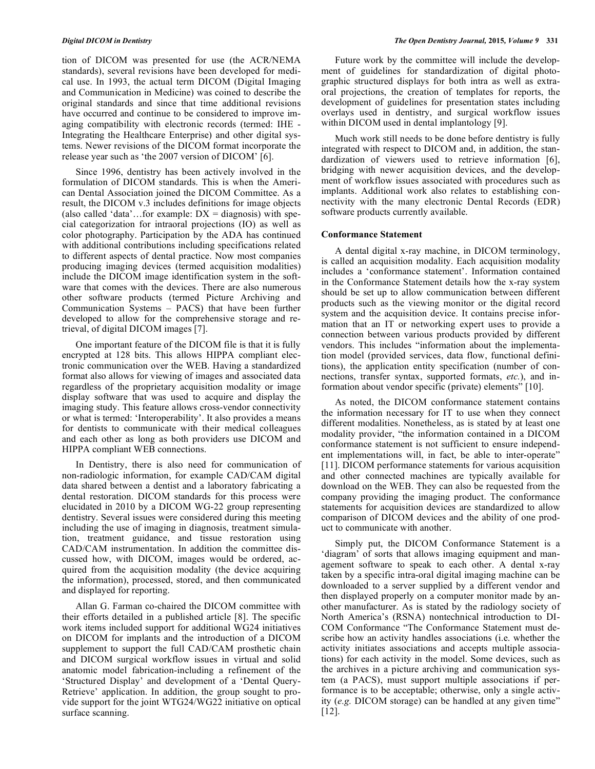tion of DICOM was presented for use (the ACR/NEMA standards), several revisions have been developed for medical use. In 1993, the actual term DICOM (Digital Imaging and Communication in Medicine) was coined to describe the original standards and since that time additional revisions have occurred and continue to be considered to improve imaging compatibility with electronic records (termed: IHE - Integrating the Healthcare Enterprise) and other digital systems. Newer revisions of the DICOM format incorporate the release year such as 'the 2007 version of DICOM' [6].

Since 1996, dentistry has been actively involved in the formulation of DICOM standards. This is when the American Dental Association joined the DICOM Committee. As a result, the DICOM v.3 includes definitions for image objects (also called 'data'...for example:  $DX = \text{diagnostic}}$ ) with special categorization for intraoral projections (IO) as well as color photography. Participation by the ADA has continued with additional contributions including specifications related to different aspects of dental practice. Now most companies producing imaging devices (termed acquisition modalities) include the DICOM image identification system in the software that comes with the devices. There are also numerous other software products (termed Picture Archiving and Communication Systems – PACS) that have been further developed to allow for the comprehensive storage and retrieval, of digital DICOM images [7].

One important feature of the DICOM file is that it is fully encrypted at 128 bits. This allows HIPPA compliant electronic communication over the WEB. Having a standardized format also allows for viewing of images and associated data regardless of the proprietary acquisition modality or image display software that was used to acquire and display the imaging study. This feature allows cross-vendor connectivity or what is termed: 'Interoperability'. It also provides a means for dentists to communicate with their medical colleagues and each other as long as both providers use DICOM and HIPPA compliant WEB connections.

In Dentistry, there is also need for communication of non-radiologic information, for example CAD/CAM digital data shared between a dentist and a laboratory fabricating a dental restoration. DICOM standards for this process were elucidated in 2010 by a DICOM WG-22 group representing dentistry. Several issues were considered during this meeting including the use of imaging in diagnosis, treatment simulation, treatment guidance, and tissue restoration using CAD/CAM instrumentation. In addition the committee discussed how, with DICOM, images would be ordered, acquired from the acquisition modality (the device acquiring the information), processed, stored, and then communicated and displayed for reporting.

Allan G. Farman co-chaired the DICOM committee with their efforts detailed in a published article [8]. The specific work items included support for additional WG24 initiatives on DICOM for implants and the introduction of a DICOM supplement to support the full CAD/CAM prosthetic chain and DICOM surgical workflow issues in virtual and solid anatomic model fabrication-including a refinement of the 'Structured Display' and development of a 'Dental Query-Retrieve' application. In addition, the group sought to provide support for the joint WTG24/WG22 initiative on optical surface scanning.

Future work by the committee will include the development of guidelines for standardization of digital photographic structured displays for both intra as well as extraoral projections, the creation of templates for reports, the development of guidelines for presentation states including overlays used in dentistry, and surgical workflow issues within DICOM used in dental implantology [9].

Much work still needs to be done before dentistry is fully integrated with respect to DICOM and, in addition, the standardization of viewers used to retrieve information [6], bridging with newer acquisition devices, and the development of workflow issues associated with procedures such as implants. Additional work also relates to establishing connectivity with the many electronic Dental Records (EDR) software products currently available.

#### **Conformance Statement**

A dental digital x-ray machine, in DICOM terminology, is called an acquisition modality. Each acquisition modality includes a 'conformance statement'. Information contained in the Conformance Statement details how the x-ray system should be set up to allow communication between different products such as the viewing monitor or the digital record system and the acquisition device. It contains precise information that an IT or networking expert uses to provide a connection between various products provided by different vendors. This includes "information about the implementation model (provided services, data flow, functional definitions), the application entity specification (number of connections, transfer syntax, supported formats, *etc.*), and information about vendor specific (private) elements" [10].

As noted, the DICOM conformance statement contains the information necessary for IT to use when they connect different modalities. Nonetheless, as is stated by at least one modality provider, "the information contained in a DICOM conformance statement is not sufficient to ensure independent implementations will, in fact, be able to inter-operate" [11]. DICOM performance statements for various acquisition and other connected machines are typically available for download on the WEB. They can also be requested from the company providing the imaging product. The conformance statements for acquisition devices are standardized to allow comparison of DICOM devices and the ability of one product to communicate with another.

Simply put, the DICOM Conformance Statement is a 'diagram' of sorts that allows imaging equipment and management software to speak to each other. A dental x-ray taken by a specific intra-oral digital imaging machine can be downloaded to a server supplied by a different vendor and then displayed properly on a computer monitor made by another manufacturer. As is stated by the radiology society of North America's (RSNA) nontechnical introduction to DI-COM Conformance "The Conformance Statement must describe how an activity handles associations (i.e. whether the activity initiates associations and accepts multiple associations) for each activity in the model. Some devices, such as the archives in a picture archiving and communication system (a PACS), must support multiple associations if performance is to be acceptable; otherwise, only a single activity (*e.g.* DICOM storage) can be handled at any given time" [12].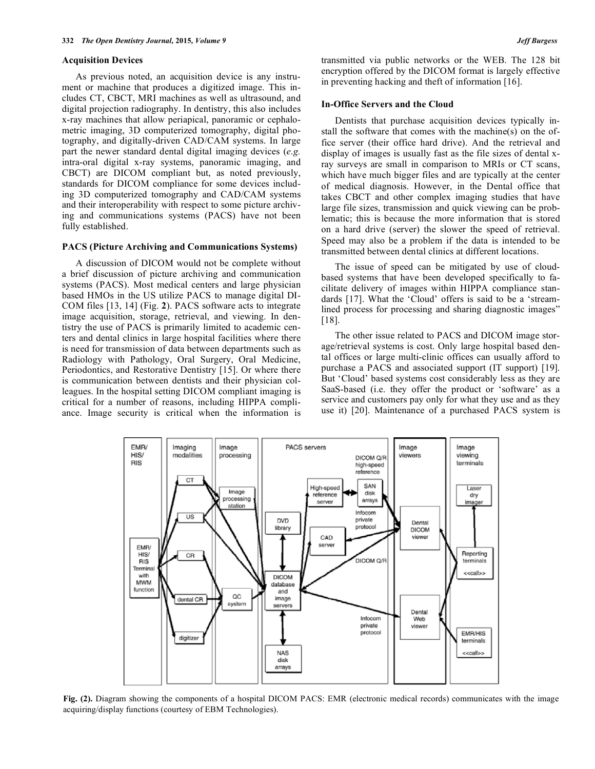#### **Acquisition Devices**

As previous noted, an acquisition device is any instrument or machine that produces a digitized image. This includes CT, CBCT, MRI machines as well as ultrasound, and digital projection radiography. In dentistry, this also includes x-ray machines that allow periapical, panoramic or cephalometric imaging, 3D computerized tomography, digital photography, and digitally-driven CAD/CAM systems. In large part the newer standard dental digital imaging devices (*e.g.* intra-oral digital x-ray systems, panoramic imaging, and CBCT) are DICOM compliant but, as noted previously, standards for DICOM compliance for some devices including 3D computerized tomography and CAD/CAM systems and their interoperability with respect to some picture archiving and communications systems (PACS) have not been fully established.

#### **PACS (Picture Archiving and Communications Systems)**

A discussion of DICOM would not be complete without a brief discussion of picture archiving and communication systems (PACS). Most medical centers and large physician based HMOs in the US utilize PACS to manage digital DI-COM files [13, 14] (Fig. **2**). PACS software acts to integrate image acquisition, storage, retrieval, and viewing. In dentistry the use of PACS is primarily limited to academic centers and dental clinics in large hospital facilities where there is need for transmission of data between departments such as Radiology with Pathology, Oral Surgery, Oral Medicine, Periodontics, and Restorative Dentistry [15]. Or where there is communication between dentists and their physician colleagues. In the hospital setting DICOM compliant imaging is critical for a number of reasons, including HIPPA compliance. Image security is critical when the information is transmitted via public networks or the WEB. The 128 bit encryption offered by the DICOM format is largely effective in preventing hacking and theft of information [16].

#### **In-Office Servers and the Cloud**

Dentists that purchase acquisition devices typically install the software that comes with the machine(s) on the office server (their office hard drive). And the retrieval and display of images is usually fast as the file sizes of dental xray surveys are small in comparison to MRIs or CT scans, which have much bigger files and are typically at the center of medical diagnosis. However, in the Dental office that takes CBCT and other complex imaging studies that have large file sizes, transmission and quick viewing can be problematic; this is because the more information that is stored on a hard drive (server) the slower the speed of retrieval. Speed may also be a problem if the data is intended to be transmitted between dental clinics at different locations.

The issue of speed can be mitigated by use of cloudbased systems that have been developed specifically to facilitate delivery of images within HIPPA compliance standards [17]. What the 'Cloud' offers is said to be a 'streamlined process for processing and sharing diagnostic images" [18].

The other issue related to PACS and DICOM image storage/retrieval systems is cost. Only large hospital based dental offices or large multi-clinic offices can usually afford to purchase a PACS and associated support (IT support) [19]. But 'Cloud' based systems cost considerably less as they are SaaS-based (i.e. they offer the product or 'software' as a service and customers pay only for what they use and as they use it) [20]. Maintenance of a purchased PACS system is



**Fig. (2).** Diagram showing the components of a hospital DICOM PACS: EMR (electronic medical records) communicates with the image acquiring/display functions (courtesy of EBM Technologies).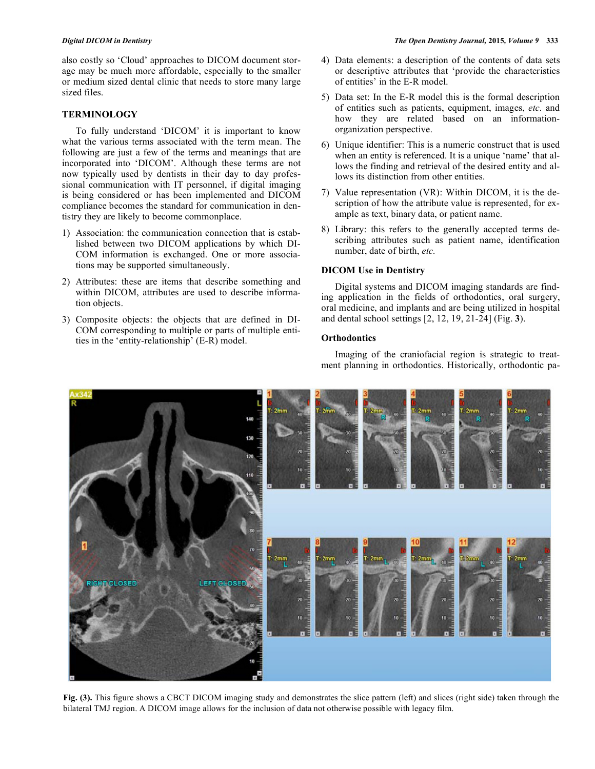also costly so 'Cloud' approaches to DICOM document storage may be much more affordable, especially to the smaller or medium sized dental clinic that needs to store many large sized files.

### **TERMINOLOGY**

To fully understand 'DICOM' it is important to know what the various terms associated with the term mean. The following are just a few of the terms and meanings that are incorporated into 'DICOM'. Although these terms are not now typically used by dentists in their day to day professional communication with IT personnel, if digital imaging is being considered or has been implemented and DICOM compliance becomes the standard for communication in dentistry they are likely to become commonplace.

- 1) Association: the communication connection that is established between two DICOM applications by which DI-COM information is exchanged. One or more associations may be supported simultaneously.
- 2) Attributes: these are items that describe something and within DICOM, attributes are used to describe information objects.
- 3) Composite objects: the objects that are defined in DI-COM corresponding to multiple or parts of multiple entities in the 'entity-relationship' (E-R) model.
- 4) Data elements: a description of the contents of data sets or descriptive attributes that 'provide the characteristics of entities' in the E-R model.
- 5) Data set: In the E-R model this is the formal description of entities such as patients, equipment, images, *etc.* and how they are related based on an informationorganization perspective.
- 6) Unique identifier: This is a numeric construct that is used when an entity is referenced. It is a unique 'name' that allows the finding and retrieval of the desired entity and allows its distinction from other entities.
- 7) Value representation (VR): Within DICOM, it is the description of how the attribute value is represented, for example as text, binary data, or patient name.
- 8) Library: this refers to the generally accepted terms describing attributes such as patient name, identification number, date of birth, *etc.*

#### **DICOM Use in Dentistry**

Digital systems and DICOM imaging standards are finding application in the fields of orthodontics, oral surgery, oral medicine, and implants and are being utilized in hospital and dental school settings [2, 12, 19, 21-24] (Fig. **3**).

### **Orthodontics**

Imaging of the craniofacial region is strategic to treatment planning in orthodontics. Historically, orthodontic pa-



**Fig. (3).** This figure shows a CBCT DICOM imaging study and demonstrates the slice pattern (left) and slices (right side) taken through the bilateral TMJ region. A DICOM image allows for the inclusion of data not otherwise possible with legacy film.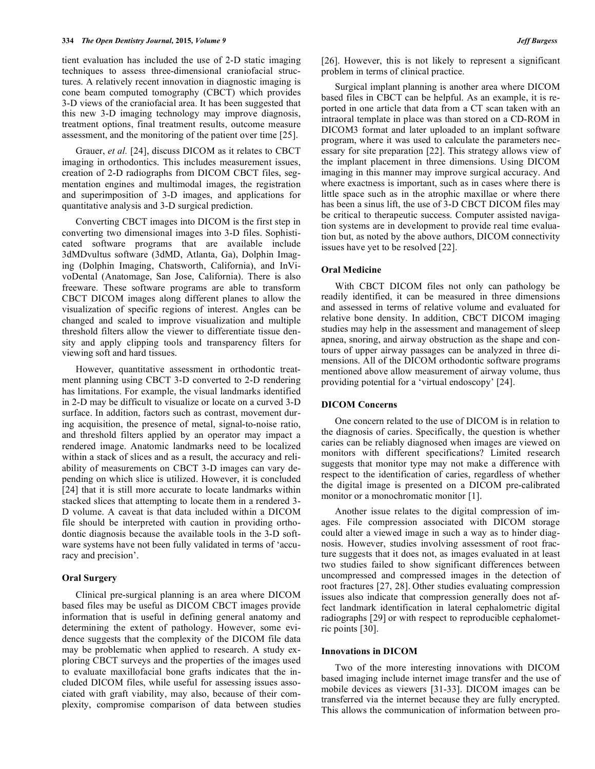tient evaluation has included the use of 2-D static imaging techniques to assess three-dimensional craniofacial structures. A relatively recent innovation in diagnostic imaging is cone beam computed tomography (CBCT) which provides 3-D views of the craniofacial area. It has been suggested that this new 3-D imaging technology may improve diagnosis, treatment options, final treatment results, outcome measure assessment, and the monitoring of the patient over time [25].

Grauer, *et al.* [24], discuss DICOM as it relates to CBCT imaging in orthodontics. This includes measurement issues, creation of 2-D radiographs from DICOM CBCT files, segmentation engines and multimodal images, the registration and superimposition of 3-D images, and applications for quantitative analysis and 3-D surgical prediction.

Converting CBCT images into DICOM is the first step in converting two dimensional images into 3-D files. Sophisticated software programs that are available include 3dMDvultus software (3dMD, Atlanta, Ga), Dolphin Imaging (Dolphin Imaging, Chatsworth, California), and InVivoDental (Anatomage, San Jose, California). There is also freeware. These software programs are able to transform CBCT DICOM images along different planes to allow the visualization of specific regions of interest. Angles can be changed and scaled to improve visualization and multiple threshold filters allow the viewer to differentiate tissue density and apply clipping tools and transparency filters for viewing soft and hard tissues.

However, quantitative assessment in orthodontic treatment planning using CBCT 3-D converted to 2-D rendering has limitations. For example, the visual landmarks identified in 2-D may be difficult to visualize or locate on a curved 3-D surface. In addition, factors such as contrast, movement during acquisition, the presence of metal, signal-to-noise ratio, and threshold filters applied by an operator may impact a rendered image. Anatomic landmarks need to be localized within a stack of slices and as a result, the accuracy and reliability of measurements on CBCT 3-D images can vary depending on which slice is utilized. However, it is concluded [24] that it is still more accurate to locate landmarks within stacked slices that attempting to locate them in a rendered 3- D volume. A caveat is that data included within a DICOM file should be interpreted with caution in providing orthodontic diagnosis because the available tools in the 3-D software systems have not been fully validated in terms of 'accuracy and precision'.

#### **Oral Surgery**

Clinical pre-surgical planning is an area where DICOM based files may be useful as DICOM CBCT images provide information that is useful in defining general anatomy and determining the extent of pathology. However, some evidence suggests that the complexity of the DICOM file data may be problematic when applied to research. A study exploring CBCT surveys and the properties of the images used to evaluate maxillofacial bone grafts indicates that the included DICOM files, while useful for assessing issues associated with graft viability, may also, because of their complexity, compromise comparison of data between studies [26]. However, this is not likely to represent a significant problem in terms of clinical practice.

Surgical implant planning is another area where DICOM based files in CBCT can be helpful. As an example, it is reported in one article that data from a CT scan taken with an intraoral template in place was than stored on a CD-ROM in DICOM3 format and later uploaded to an implant software program, where it was used to calculate the parameters necessary for site preparation [22]. This strategy allows view of the implant placement in three dimensions. Using DICOM imaging in this manner may improve surgical accuracy. And where exactness is important, such as in cases where there is little space such as in the atrophic maxillae or where there has been a sinus lift, the use of 3-D CBCT DICOM files may be critical to therapeutic success. Computer assisted navigation systems are in development to provide real time evaluation but, as noted by the above authors, DICOM connectivity issues have yet to be resolved [22].

#### **Oral Medicine**

With CBCT DICOM files not only can pathology be readily identified, it can be measured in three dimensions and assessed in terms of relative volume and evaluated for relative bone density. In addition, CBCT DICOM imaging studies may help in the assessment and management of sleep apnea, snoring, and airway obstruction as the shape and contours of upper airway passages can be analyzed in three dimensions. All of the DICOM orthodontic software programs mentioned above allow measurement of airway volume, thus providing potential for a 'virtual endoscopy' [24].

#### **DICOM Concerns**

One concern related to the use of DICOM is in relation to the diagnosis of caries. Specifically, the question is whether caries can be reliably diagnosed when images are viewed on monitors with different specifications? Limited research suggests that monitor type may not make a difference with respect to the identification of caries, regardless of whether the digital image is presented on a DICOM pre-calibrated monitor or a monochromatic monitor [1].

Another issue relates to the digital compression of images. File compression associated with DICOM storage could alter a viewed image in such a way as to hinder diagnosis. However, studies involving assessment of root fracture suggests that it does not, as images evaluated in at least two studies failed to show significant differences between uncompressed and compressed images in the detection of root fractures [27, 28]. Other studies evaluating compression issues also indicate that compression generally does not affect landmark identification in lateral cephalometric digital radiographs [29] or with respect to reproducible cephalometric points [30].

#### **Innovations in DICOM**

Two of the more interesting innovations with DICOM based imaging include internet image transfer and the use of mobile devices as viewers [31-33]. DICOM images can be transferred via the internet because they are fully encrypted. This allows the communication of information between pro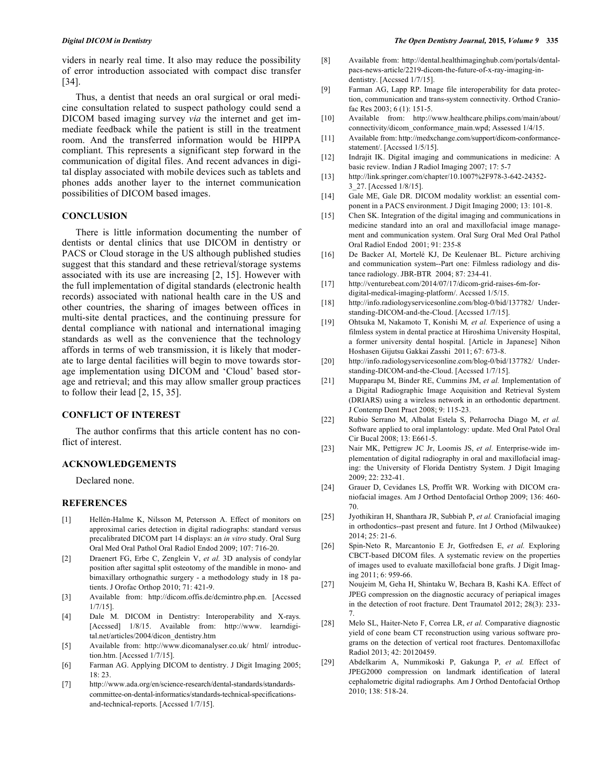viders in nearly real time. It also may reduce the possibility of error introduction associated with compact disc transfer [34].

Thus, a dentist that needs an oral surgical or oral medicine consultation related to suspect pathology could send a DICOM based imaging survey *via* the internet and get immediate feedback while the patient is still in the treatment room. And the transferred information would be HIPPA compliant. This represents a significant step forward in the communication of digital files. And recent advances in digital display associated with mobile devices such as tablets and phones adds another layer to the internet communication possibilities of DICOM based images.

# **CONCLUSION**

There is little information documenting the number of dentists or dental clinics that use DICOM in dentistry or PACS or Cloud storage in the US although published studies suggest that this standard and these retrieval/storage systems associated with its use are increasing [2, 15]. However with the full implementation of digital standards (electronic health records) associated with national health care in the US and other countries, the sharing of images between offices in multi-site dental practices, and the continuing pressure for dental compliance with national and international imaging standards as well as the convenience that the technology affords in terms of web transmission, it is likely that moderate to large dental facilities will begin to move towards storage implementation using DICOM and 'Cloud' based storage and retrieval; and this may allow smaller group practices to follow their lead [2, 15, 35].

#### **CONFLICT OF INTEREST**

The author confirms that this article content has no conflict of interest.

### **ACKNOWLEDGEMENTS**

Declared none.

# **REFERENCES**

- [1] Hellén-Halme K, Nilsson M, Petersson A. Effect of monitors on approximal caries detection in digital radiographs: standard versus precalibrated DICOM part 14 displays: an *in vitro* study. Oral Surg Oral Med Oral Pathol Oral Radiol Endod 2009; 107: 716-20.
- [2] Draenert FG, Erbe C, Zenglein V, *et al.* 3D analysis of condylar position after sagittal split osteotomy of the mandible in mono- and bimaxillary orthognathic surgery - a methodology study in 18 patients. J Orofac Orthop 2010; 71: 421-9.
- [3] Available from: http://dicom.offis.de/dcmintro.php.en. [Accssed 1/7/15].
- [4] Dale M. DICOM in Dentistry: Interoperability and X-rays. [Accssed] 1/8/15. Available from: http://www. learndigital.net/articles/2004/dicon\_dentistry.htm
- [5] Available from: http://www.dicomanalyser.co.uk/ html/ introduction.htm. [Accssed 1/7/15].
- [6] Farman AG. Applying DICOM to dentistry. J Digit Imaging 2005; 18: 23.
- [7] http://www.ada.org/en/science-research/dental-standards/standardscommittee-on-dental-informatics/standards-technical-specificationsand-technical-reports. [Accssed 1/7/15].
- [8] Available from: http://dental.healthimaginghub.com/portals/dentalpacs-news-article/2219-dicom-the-future-of-x-ray-imaging-indentistry. [Accssed 1/7/15].
- [9] Farman AG, Lapp RP. Image file interoperability for data protection, communication and trans-system connectivity. Orthod Craniofac Res 2003; 6 (1): 151-5.
- [10] Available from: http://www.healthcare.philips.com/main/about/ connectivity/dicom\_conformance\_main.wpd; Assessed 1/4/15.
- [11] Available from: http://medxchange.com/support/dicom-conformancestatement/. [Accssed 1/5/15].
- [12] Indrajit IK. Digital imaging and communications in medicine: A basic review. Indian J Radiol Imaging 2007; 17: 5-7
- [13] http://link.springer.com/chapter/10.1007%2F978-3-642-24352- 3\_27. [Accssed 1/8/15].
- [14] Gale ME, Gale DR. DICOM modality worklist: an essential component in a PACS environment. J Digit Imaging 2000; 13: 101-8.
- [15] Chen SK. Integration of the digital imaging and communications in medicine standard into an oral and maxillofacial image management and communication system. Oral Surg Oral Med Oral Pathol Oral Radiol Endod 2001; 91: 235-8
- [16] De Backer AI, Mortelé KJ, De Keulenaer BL. Picture archiving and communication system--Part one: Filmless radiology and distance radiology. JBR-BTR 2004; 87: 234-41.
- [17] http://venturebeat.com/2014/07/17/dicom-grid-raises-6m-fordigital-medical-imaging-platform/. Accssed 1/5/15.
- [18] http://info.radiologyservicesonline.com/blog-0/bid/137782/ Understanding-DICOM-and-the-Cloud. [Accssed 1/7/15].
- [19] Ohtsuka M, Nakamoto T, Konishi M*, et al.* Experience of using a filmless system in dental practice at Hiroshima University Hospital, a former university dental hospital. [Article in Japanese] Nihon Hoshasen Gijutsu Gakkai Zasshi 2011; 67: 673-8.
- [20] http://info.radiologyservicesonline.com/blog-0/bid/137782/ Understanding-DICOM-and-the-Cloud. [Accssed 1/7/15].
- [21] Mupparapu M, Binder RE, Cummins JM, *et al.* Implementation of a Digital Radiographic Image Acquisition and Retrieval System (DRIARS) using a wireless network in an orthodontic department. J Contemp Dent Pract 2008; 9: 115-23.
- [22] Rubio Serrano M, Albalat Estela S, Peñarrocha Diago M, *et al.* Software applied to oral implantology: update. Med Oral Patol Oral Cir Bucal 2008; 13: E661-5.
- [23] Nair MK, Pettigrew JC Jr, Loomis JS, *et al.* Enterprise-wide implementation of digital radiography in oral and maxillofacial imaging: the University of Florida Dentistry System. J Digit Imaging 2009; 22: 232-41.
- [24] Grauer D, Cevidanes LS, Proffit WR. Working with DICOM craniofacial images. Am J Orthod Dentofacial Orthop 2009; 136: 460- 70.
- [25] Jyothikiran H, Shanthara JR, Subbiah P, *et al.* Craniofacial imaging in orthodontics--past present and future. Int J Orthod (Milwaukee) 2014; 25: 21-6.
- [26] Spin-Neto R, Marcantonio E Jr, Gotfredsen E, *et al.* Exploring CBCT-based DICOM files. A systematic review on the properties of images used to evaluate maxillofacial bone grafts. J Digit Imaging 2011; 6: 959-66.
- [27] Noujeim M, Geha H, Shintaku W, Bechara B, Kashi KA. Effect of JPEG compression on the diagnostic accuracy of periapical images in the detection of root fracture. Dent Traumatol 2012; 28(3): 233- 7.
- [28] Melo SL, Haiter-Neto F, Correa LR, *et al.* Comparative diagnostic yield of cone beam CT reconstruction using various software programs on the detection of vertical root fractures. Dentomaxillofac Radiol 2013; 42: 20120459.
- [29] Abdelkarim A, Nummikoski P, Gakunga P, *et al.* Effect of JPEG2000 compression on landmark identification of lateral cephalometric digital radiographs*.* Am J Orthod Dentofacial Orthop 2010; 138: 518-24.